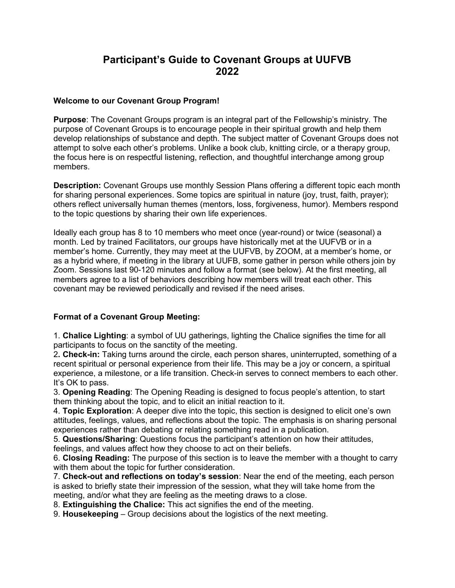# Participant's Guide to Covenant Groups at UUFVB 2022

#### Welcome to our Covenant Group Program!

Purpose: The Covenant Groups program is an integral part of the Fellowship's ministry. The purpose of Covenant Groups is to encourage people in their spiritual growth and help them develop relationships of substance and depth. The subject matter of Covenant Groups does not attempt to solve each other's problems. Unlike a book club, knitting circle, or a therapy group, the focus here is on respectful listening, reflection, and thoughtful interchange among group members.

Description: Covenant Groups use monthly Session Plans offering a different topic each month for sharing personal experiences. Some topics are spiritual in nature (joy, trust, faith, prayer); others reflect universally human themes (mentors, loss, forgiveness, humor). Members respond to the topic questions by sharing their own life experiences.

Ideally each group has 8 to 10 members who meet once (year-round) or twice (seasonal) a month. Led by trained Facilitators, our groups have historically met at the UUFVB or in a member's home. Currently, they may meet at the UUFVB, by ZOOM, at a member's home, or as a hybrid where, if meeting in the library at UUFB, some gather in person while others join by Zoom. Sessions last 90-120 minutes and follow a format (see below). At the first meeting, all members agree to a list of behaviors describing how members will treat each other. This covenant may be reviewed periodically and revised if the need arises.

### Format of a Covenant Group Meeting:

1. Chalice Lighting: a symbol of UU gatherings, lighting the Chalice signifies the time for all participants to focus on the sanctity of the meeting.

2. Check-in: Taking turns around the circle, each person shares, uninterrupted, something of a recent spiritual or personal experience from their life. This may be a joy or concern, a spiritual experience, a milestone, or a life transition. Check-in serves to connect members to each other. It's OK to pass.

3. Opening Reading: The Opening Reading is designed to focus people's attention, to start them thinking about the topic, and to elicit an initial reaction to it.

4. Topic Exploration: A deeper dive into the topic, this section is designed to elicit one's own attitudes, feelings, values, and reflections about the topic. The emphasis is on sharing personal experiences rather than debating or relating something read in a publication.

5. Questions/Sharing: Questions focus the participant's attention on how their attitudes, feelings, and values affect how they choose to act on their beliefs.

6. Closing Reading: The purpose of this section is to leave the member with a thought to carry with them about the topic for further consideration.

7. Check-out and reflections on today's session: Near the end of the meeting, each person is asked to briefly state their impression of the session, what they will take home from the meeting, and/or what they are feeling as the meeting draws to a close.

8. Extinguishing the Chalice: This act signifies the end of the meeting.

9. Housekeeping – Group decisions about the logistics of the next meeting.